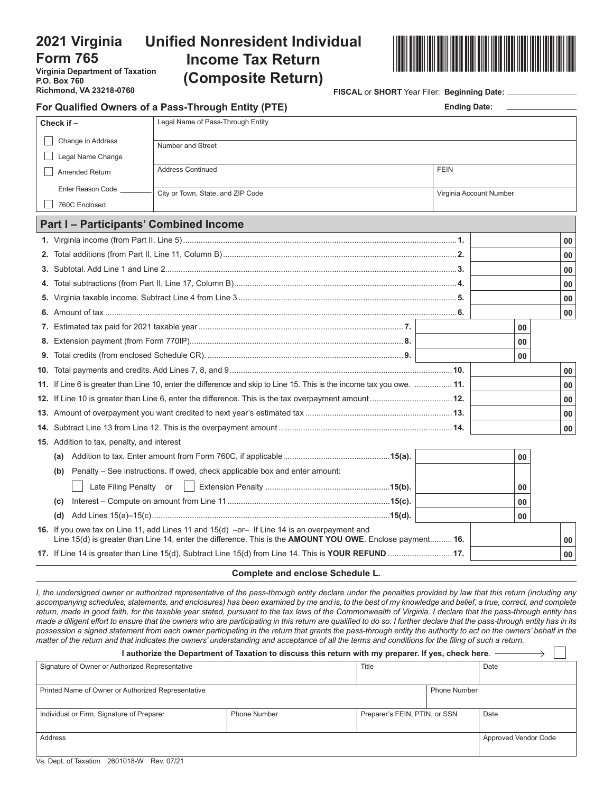## **2021 Virginia Form 765**

**Virginia Department of Taxation P.O. Box 760 Richmond, VA 23218-0760**

# **Unified Nonresident Individual Income Tax Return (Composite Return)**



**FISCAL** or **SHORT** Year Filer: **Beginning Date:** 

| For Qualified Owners of a Pass-Through Entity (PTE) | <b>Ending Date:</b>                                                                                                                                                                                      |                         |    |    |  |  |  |  |  |  |  |
|-----------------------------------------------------|----------------------------------------------------------------------------------------------------------------------------------------------------------------------------------------------------------|-------------------------|----|----|--|--|--|--|--|--|--|
| Check if -                                          | Legal Name of Pass-Through Entity                                                                                                                                                                        |                         |    |    |  |  |  |  |  |  |  |
|                                                     | Change in Address<br>Number and Street                                                                                                                                                                   |                         |    |    |  |  |  |  |  |  |  |
|                                                     | Legal Name Change                                                                                                                                                                                        |                         |    |    |  |  |  |  |  |  |  |
| Amended Return                                      | <b>Address Continued</b>                                                                                                                                                                                 |                         |    |    |  |  |  |  |  |  |  |
| Enter Reason Code                                   | City or Town, State, and ZIP Code                                                                                                                                                                        | Virginia Account Number |    |    |  |  |  |  |  |  |  |
| 760C Enclosed                                       |                                                                                                                                                                                                          |                         |    |    |  |  |  |  |  |  |  |
|                                                     | <b>Part I-Participants' Combined Income</b>                                                                                                                                                              |                         |    |    |  |  |  |  |  |  |  |
|                                                     |                                                                                                                                                                                                          |                         |    | 00 |  |  |  |  |  |  |  |
|                                                     |                                                                                                                                                                                                          |                         |    | 00 |  |  |  |  |  |  |  |
| 3.                                                  |                                                                                                                                                                                                          |                         |    | 00 |  |  |  |  |  |  |  |
| 4.                                                  |                                                                                                                                                                                                          |                         |    | 00 |  |  |  |  |  |  |  |
| 5.                                                  |                                                                                                                                                                                                          |                         |    | 00 |  |  |  |  |  |  |  |
|                                                     |                                                                                                                                                                                                          |                         |    | 00 |  |  |  |  |  |  |  |
|                                                     |                                                                                                                                                                                                          |                         | 00 |    |  |  |  |  |  |  |  |
| 8.                                                  |                                                                                                                                                                                                          |                         |    |    |  |  |  |  |  |  |  |
| 9.                                                  |                                                                                                                                                                                                          |                         | 00 |    |  |  |  |  |  |  |  |
| 10.                                                 |                                                                                                                                                                                                          |                         |    |    |  |  |  |  |  |  |  |
| 11.                                                 | If Line 6 is greater than Line 10, enter the difference and skip to Line 15. This is the income tax you owe.  11.                                                                                        |                         |    | 00 |  |  |  |  |  |  |  |
|                                                     |                                                                                                                                                                                                          |                         |    | 00 |  |  |  |  |  |  |  |
|                                                     |                                                                                                                                                                                                          |                         |    |    |  |  |  |  |  |  |  |
|                                                     |                                                                                                                                                                                                          |                         |    | 00 |  |  |  |  |  |  |  |
|                                                     | <b>15.</b> Addition to tax, penalty, and interest                                                                                                                                                        |                         |    |    |  |  |  |  |  |  |  |
| (a)                                                 |                                                                                                                                                                                                          |                         | 00 |    |  |  |  |  |  |  |  |
| (b)                                                 | Penalty - See instructions. If owed, check applicable box and enter amount:                                                                                                                              |                         |    |    |  |  |  |  |  |  |  |
|                                                     | Late Filing Penalty or<br>$\Box$                                                                                                                                                                         |                         | 00 |    |  |  |  |  |  |  |  |
| (c)                                                 |                                                                                                                                                                                                          |                         | 00 |    |  |  |  |  |  |  |  |
| (d)                                                 |                                                                                                                                                                                                          |                         | 00 |    |  |  |  |  |  |  |  |
|                                                     | 16. If you owe tax on Line 11, add Lines 11 and 15(d) -or- If Line 14 is an overpayment and<br>Line 15(d) is greater than Line 14, enter the difference. This is the AMOUNT YOU OWE. Enclose payment 16. |                         |    | 00 |  |  |  |  |  |  |  |
|                                                     | 17. If Line 14 is greater than Line 15(d), Subtract Line 15(d) from Line 14. This is YOUR REFUND  17.                                                                                                    |                         |    | 00 |  |  |  |  |  |  |  |
|                                                     |                                                                                                                                                                                                          |                         |    |    |  |  |  |  |  |  |  |

#### **Complete and enclose Schedule L.**

*I, the undersigned owner or authorized representative of the pass-through entity declare under the penalties provided by law that this return (including any accompanying schedules, statements, and enclosures) has been examined by me and is, to the best of my knowledge and belief, a true, correct, and complete return, made in good faith, for the taxable year stated, pursuant to the tax laws of the Commonwealth of Virginia. I declare that the pass-through entity has made a diligent effort to ensure that the owners who are participating in this return are qualified to do so. I further declare that the pass-through entity has in its possession a signed statement from each owner participating in the return that grants the pass-through entity the authority to act on the owners' behalf in the matter of the return and that indicates the owners' understanding and acceptance of all the terms and conditions for the filing of such a return.*

|                                                    | authorize the Department of Taxation to discuss this return with my preparer. If yes, check here |                               |      |                             |
|----------------------------------------------------|--------------------------------------------------------------------------------------------------|-------------------------------|------|-----------------------------|
| Signature of Owner or Authorized Representative    | Title                                                                                            |                               | Date |                             |
|                                                    |                                                                                                  |                               |      |                             |
| Printed Name of Owner or Authorized Representative |                                                                                                  | <b>Phone Number</b>           |      |                             |
|                                                    |                                                                                                  |                               |      |                             |
| Individual or Firm, Signature of Preparer          | <b>Phone Number</b>                                                                              | Preparer's FEIN, PTIN, or SSN |      | Date                        |
|                                                    |                                                                                                  |                               |      |                             |
| Address                                            |                                                                                                  |                               |      | <b>Approved Vendor Code</b> |
|                                                    |                                                                                                  |                               |      |                             |